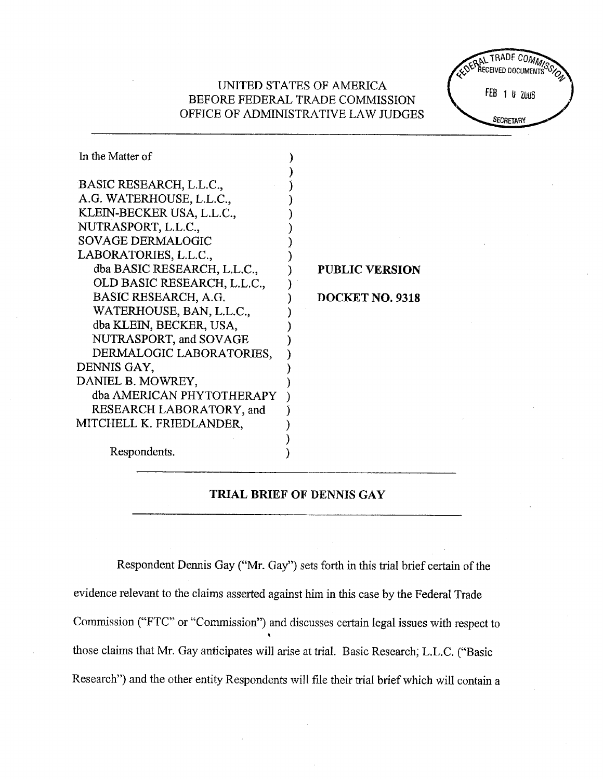# UNITED STATES OF AMERICA BEFORE FEDERAL TRADE COMMISSION OFFICE OF ADMINISTRATIVE LAW JUDGES

TRADE COM ŘECEIVED DOCHI FEB 1 U 2006 SECRETARY

| In the Matter of            |                       |
|-----------------------------|-----------------------|
| BASIC RESEARCH, L.L.C.,     |                       |
| A.G. WATERHOUSE, L.L.C.,    |                       |
| KLEIN-BECKER USA, L.L.C.,   |                       |
| NUTRASPORT, L.L.C.,         |                       |
| <b>SOVAGE DERMALOGIC</b>    |                       |
| LABORATORIES, L.L.C.,       |                       |
| dba BASIC RESEARCH, L.L.C., | <b>PUBLIC VERSION</b> |
| OLD BASIC RESEARCH, L.L.C., |                       |
| BASIC RESEARCH, A.G.        | DOCKET NO. 9318       |
| WATERHOUSE, BAN, L.L.C.,    |                       |
| dba KLEIN, BECKER, USA,     |                       |
| NUTRASPORT, and SOVAGE      |                       |
| DERMALOGIC LABORATORIES,    |                       |
| DENNIS GAY,                 |                       |
| DANIEL B. MOWREY,           |                       |
| dba AMERICAN PHYTOTHERAPY   |                       |
| RESEARCH LABORATORY, and    |                       |
| MITCHELL K. FRIEDLANDER.    |                       |
|                             |                       |
| Respondents.                |                       |

## TRIAL BRIEF OF DENNIS GAY

Respondent Dennis Gay ("Mr. Gay") sets forth in this trial brief certain of the evidence relevant to the claims asserted against him in this case by the Federal Trade Commission ("FTC" or "Commission") and discusses certain legal issues with respect to those claims that Mr. Gay anticipates will arise at trial. Basic Research; L.L.C. ("Basic Research") and the other entity Respondents will file their trial brief which will contain a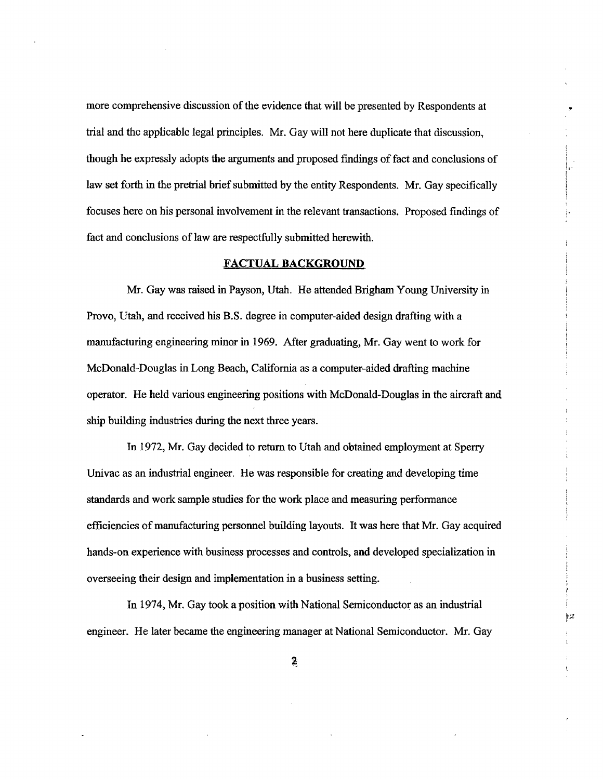more comprehensive discussion of the evidence that will be presented by Respondents at trial and the applicable legal principles. Mr. Gay will not here duplicate that discussion, though he expressly adopts the arguments and proposed findings of fact and conclusions of law set forth in the pretrial brief submitted by the entity Respondents. Mr. Gay specifically focuses here on his personal involvement in the relevant transactions. Proposed findings of fact and conclusions of law are respectfully submitted herewith.

#### FACTUAL BACKGROUND.

Mr. Gay was raised in Payson, Utah. He attended Brigham Young University in Provo, Utah, and received his B.S. degree in computer-aided design drafting with a manufacturig engineering minor in. 1969. After graduatig, Mr. Gay went to work for McDonald-Douglas in Long Beach, California as a computer-aided drafting machine operator. He held varous engineerig positions with McDonald-Douglas in the aircraft and ship building industries during the next three years.

In 1972, Mr. Gay decided to return to Utah and obtained employment at Sperr Univac as an industrial engineer. He was responsible for creating and developing time stadards and work sample studies for the work place and measurig performance . efficiencies of manufacturing personnel buiding layouts. It was here that Mr. Gay acquired hands-on experience with business processes and controls, and developed specialization in overseeing their design and implementation in a business setting.

In 1974, Mr. Gay took a position with National Semiconductor as an industrial engineer. He later became the engineerig manager at National Semiconductor. Mr. Gay

 $\mathfrak{p}$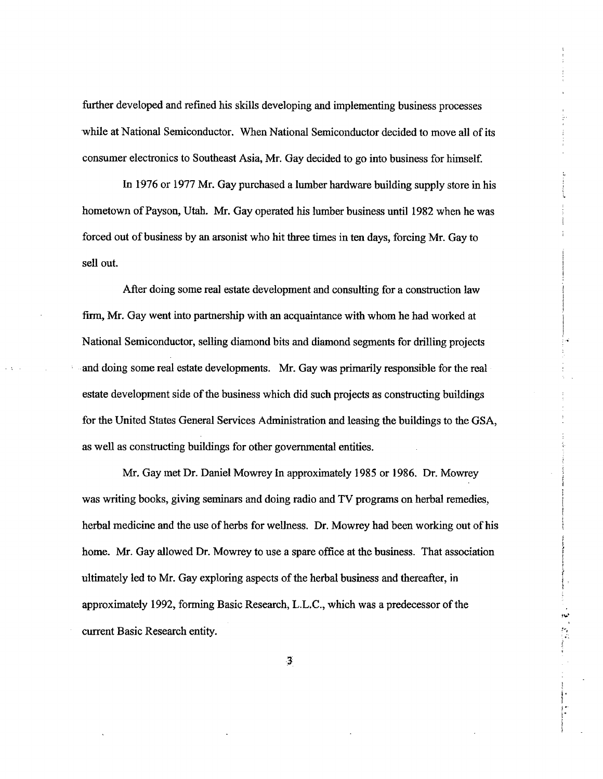further developed and refined his skills developing and implementing business processes while at National Semiconductor. When National Semiconductor decided to move all of its consumer electronics to Southeast Asia, Mr. Gay decided to go into business for himself.

In 1976 or 1977 Mr. Gay purchased a lumber hardware building supply store in his hometown of Payson, Utah. Mr. Gay operated his lumber business until 1982 when he was forced out of business by an arsonist who hit three times in ten days, forcing Mr. Gay to sell out.

After doing some real estate development and consulting for a construction law firm, Mr. Gay went into partnership with an acquaintance with whom he had worked at National Semiconductor, selling diamond bits and diamond segments for drilling projects and doing some real estate developments. Mr. Gay was primarily responsible for the real estate development side of the business which did such projects as constructing buildings for the United States General Services Administration and leasing the buildings to the GSA, as well as constructing buildings for other governmental entities.

Mr. Gay met Dr. Daniel Mowrey In approximately 1985 or 1986. Dr. Mowrey was writing books, giving seminars and doing radio and TV programs on herbal remedies, herbal medicine and the use of herbs for wellness. Dr. Mowrey had been working out of his home. Mr. Gay allowed Dr. Mowrey to use a spare office at the business. That association ultimately led to Mr. Gay exploring aspects of the herbal business and thereafter, in approximately 1992, formng Basic Research, L.L.C., which was a predecessor of the current Basic Research entity.

~

 $^{\circ}$ 

 $, \cdot$ 

¡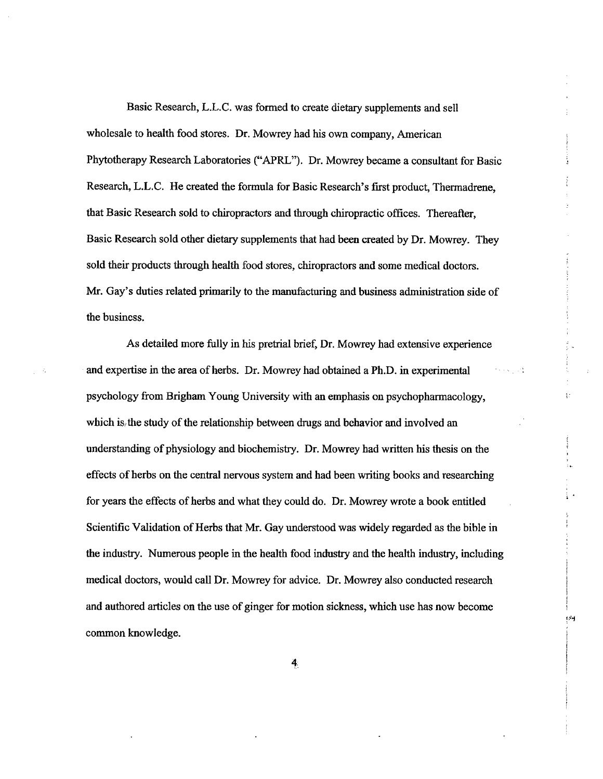Basic Research, L.L.C. was formed to create dietary supplements and sell wholesale to health food stores. Dr. Mowrey had his own company, American Phytotherapy Research Laboratories ("APRL"). Dr. Mowrey became a consultant for Basic Research, L.L.C. He created the formula for Basic Research's first product, Thermadrene, that Basic Research sold to chiopractors and through chiropractic offices. Thereafter, Basic Research sold other dietary supplements that had been created by Dr. Mowrey. They sold their products through health food stores, chiropractors and some medical doctors. Mr. Gay's duties related primarly to the manufàcturing and business adminstration side of the business.

As detailed more fully in his pretral brief, Dr. Mowrey had extensive experience and expertse in the area of herbs. Dr. Mowrey had obtained a Ph.D. in experimental falski jug psychology from Brigham Young University with an emphasis on psychopharacology, which is, the study of the relationship between drugs and behavior and involved an understanding of physiology and biochemistry. Dr. Mowrey had written his thesis on the effects of herbs on the central nervous system and had been writing books and researching for years the effects of herbs and what they could do. Dr. Mowrey wrote a book entitled Scientific Validation of Herbs that Mr. Gay understood was widely regarded as the bible in the industry. Numerous people in the health food industry and the health industry, including medical doctors, would call Dr. Mowrey for advice. Dr. Mowrey also conducted research and authored aricles on the use of ginger for motion sickness, which use has now become common knowledge.

 $\ddot{\phantom{1}}$ 

 $\overline{\Omega}$ 

fl-j

4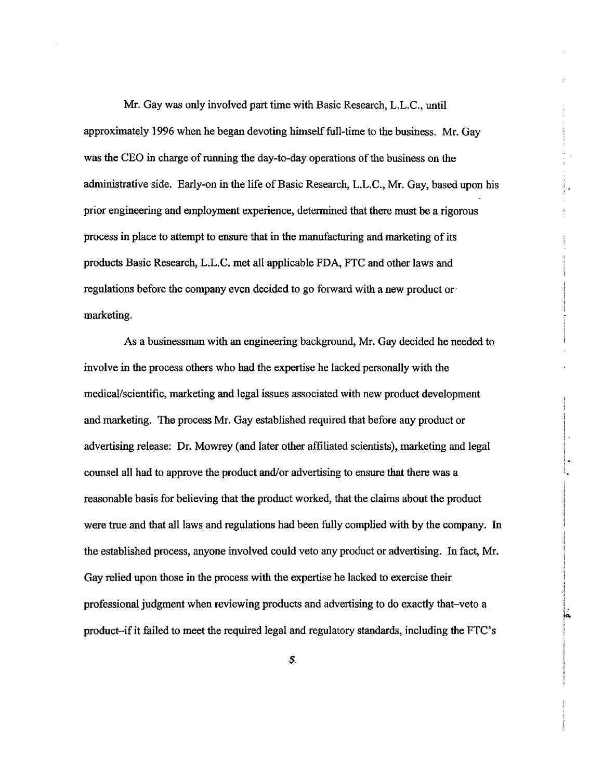Mr. Gay was only involved part time with Basic Research, L.L.C., until approximately 1996 when he began devoting himself full-time to the business. Mr. Gay was the CEO in charge of running the day-to-day operations of the business on the adminstrative side. Early-on in the life of Basic Research, L.L.C., Mr. Gay, based upon his prior engineerig and employment experience, determined that there must be a rigorous process in place to attempt to ensure that in the manufacturing and marketing of its products Basic Research, L.L.C. met all applicable FDA, FTC and other laws and regulations before the company even decided to go forward with a new product or. marketing.

As a businessman with an engineerig background, Mr. Gay decided he needed to involve in the process others who had the expertise he lacked personally with the medical/scientific, marketing and legal issues associated with new product development and marketing. The process Mr. Gay established required that before any product or advertising release: Dr. Mowrey (and later other affiliated scientists), marketing and legal counsel all had to approve the product and/or advertsing to ensure that there was a reasonable basis for believing that the product worked, that the claims about the product were true and that all laws and regulations had been fully complied with by the company. In the established process, anyone involved could veto any product or advertising. In fact, Mr. Gay relied upon those in the process with the expertise he lacked to exercise their professional judgment when reviewing products and adversing to do exactly that-veto a product-if it failed to meet the required legal and regulatory standards, including the FTC's

.1 ! i i ,. ¡Pi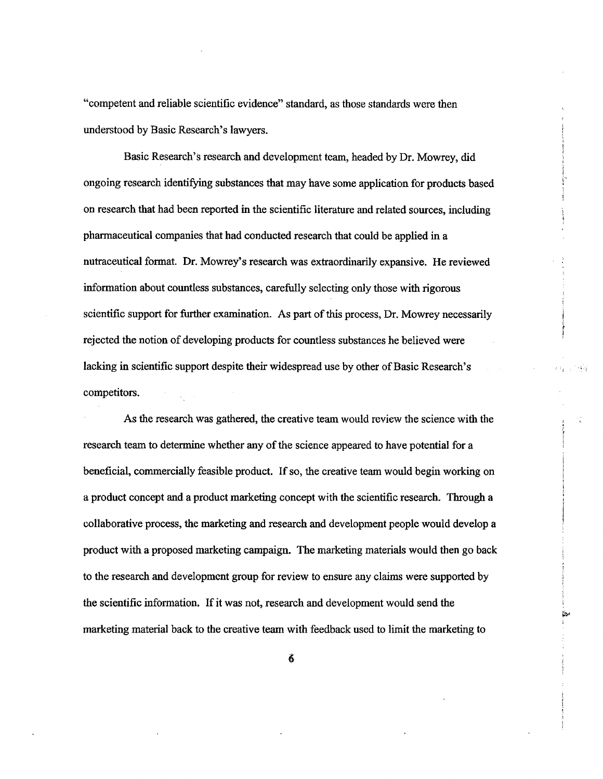"competent and reliable scientific evidence" standard, as those standards were then understood by Basic Research's lawyers.

Basic Research's research and development team, headed by Dr. Mowrey, did ongoing research identifyg substances that may have some application for products based on research that had been reported in the scientific literature and related sources, including pharmaceutical companies that had conducted research that could be applied in a nutraceutical format. Dr. Mowrey's research was extraordinarly expansive. He reviewed information about countless substances, carefully selecting only those with rigorous scientific support for further examination. As part of this process, Dr. Mowrey necessarily rejected the notion of developing products for countless substances he believed were lacking in scientific support despite their widespread use by other of Basic Research's competitors.

 $\ddot{\cdot}$ 

~

As the research was gathered, the creative team would review the science with the research team to determine whether any of the science appeared to have potential for a beneficial, commercially feasible product. If so, the creative team would begin working on a product concept and a product marketig concept with the scientific research. Though a collaborative process, the marketing and research and development people would develop a product with a proposed marketing campaign. The marketing materials would then go back to the research and development group for review to ensure any claims were supported by the scientific information. If it was not, research and development would send the marketing material back to the creative team with feedback used to limit the marketing to

6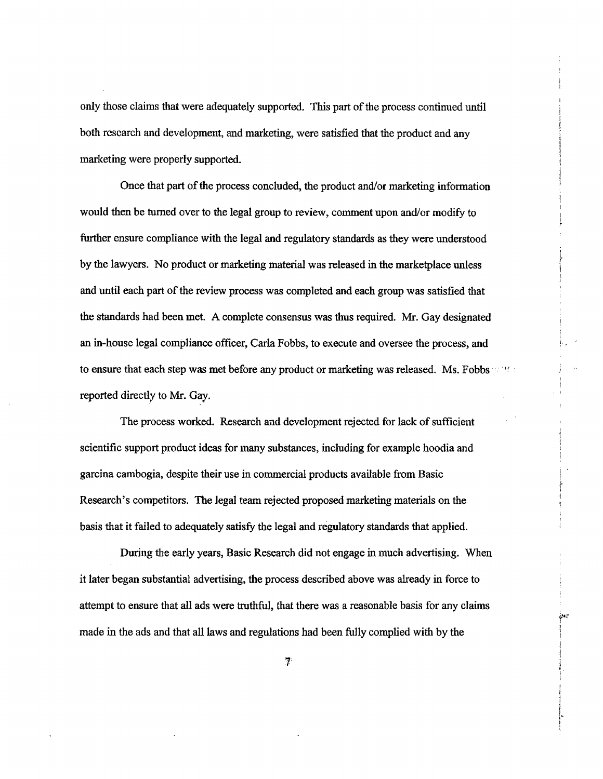only those claims that were adequately supported. This par of the process continued until both research and development, and marketing, were satisfied that the product and any marketing were properly supported.

Once that part of the process concluded, the product and/or marketing information would then be turned over to the legal group to review, comment upon and/or modify to further ensure compliance with the legal and regulatory standards as they were understood by the lawyers. No product or marketing material was released in the marketplace unless and until each part of the review process was completed and each group was satisfied that the standards had been met. A complete consensus was thus required. Mr. Gay designated an in-house legal compliance officer, Carla Fobbs, to execute and oversee the process, and to ensure that each step was met before any product or marketing was released. Ms. Fobbs...  $\mathbb{R}^n$ reported directly to Mr. Gay.

The process worked. Research and development rejected for lack of sufficient scientifc support product ideas for may substances, including for example hoodia and garcina cambogia, despite their use in commercial products available from Basic Research's competitors. The legal team rejected proposed marketing materials on the basis that it failed to adequately satisfy the legal and regulatory stadards that applied.

,. r

 $i$ 

During the early years, Basic Research did not engage in much advertising. When it later began substantial advertising, the process described above was aleady in force to attempt to ensure that all ads were truthful, that there was a reasonable basis for any claims made in the ads and that all laws and regulations had been fully complied with by the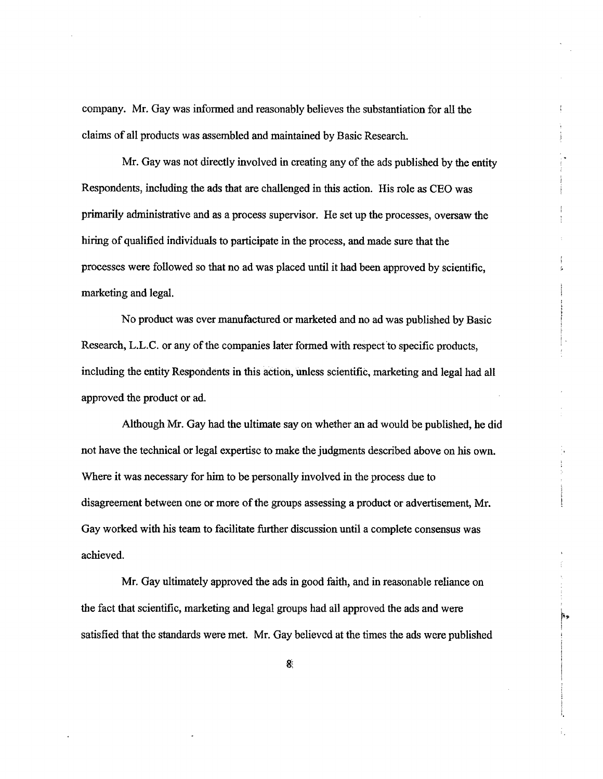company. Mr. Gay was informed and reasonably believes the substantiation for all the claims of all products was assembled and maintained by Basic Research.

Mr. Gay was not directly involved in creating any of the ads published by the entity Respondents, including the ads that are chalenged in this action. His role as CEO was primarly admistrative and as a process supervisor. He set up the processes, oversaw the hirig of quaified individuals to paricipate in the process, and made sure that the processes were followed so that no ad was placed until it had been approved by scientific, marketing and legal.

No product was ever manufactured or marketed and no ad was published by Basic Research, L.L.C. or any of the companies later formed with respect to specific products, including the entity Respondents in this action, unless scientific, marketing and legal had all approved the product or ad.

Although Mr. Gay had the ultimte say on whether an ad would be published, he did not have the technical or legal expertsc to make the judgments described above on his own. Where it was necessary for him to be personally involved in the process due to disagreement between one or more of the groups assessing a product or advertisement, Mr. Gay worked with his team to facilitate further discussion until a complete consensus was achieved.

Mr. Gay ultimately approved the ads in good faith, and in reasonable reliance on the fact that scientific, marketing and legal groups had all approved the ads and were satisfied that the stadards were met. Mr. Gay believcd at the times the ads were published

f"'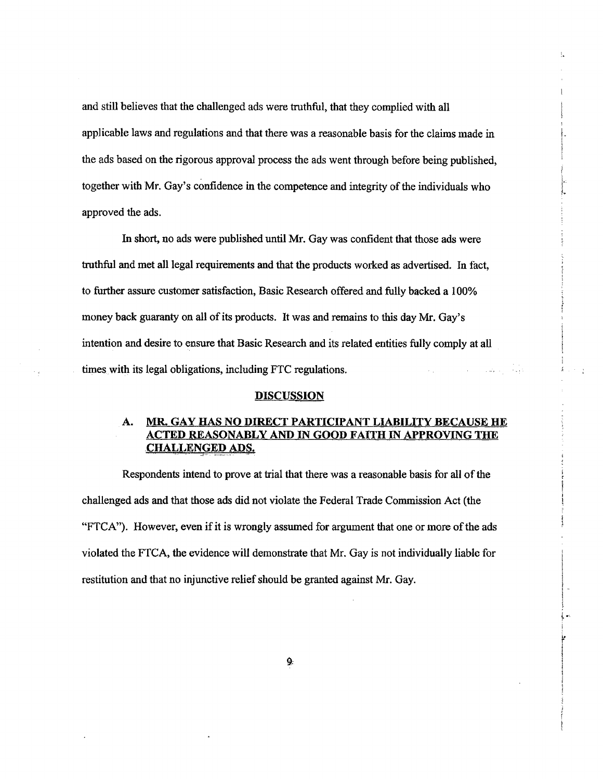and still believes that the challenged ads were truthful, that they complied with all applicable laws and regulations and that there was a reasonable basis for the claims made in the ads based on the rigorous approval process the ads went through before being published, together with Mr. Gay's confidence in the competence and integrity of the individuals who l' approved the ads.

f.

÷.

In short, no ads were published until Mr. Gay was confdent that those ads were trthful and met all legal requirements and that the products worked as advertsed. In fact, to fuher assure customer satisfaction, Basic Research offered and fully backed a 100% money back guaranty on all of its products. It was and remains to this day Mr. Gay's intention and desire to ensure that Basic Research and its related entities fully comply at all times with its legal obligations, including FTC regulations.

#### **DISCUSSION**

# A. MR. GAY HAS NO DIRECT PARTICIPANT LIABILITY BECAUSE HE ACTED REASONABLY AND IN GOOD FAITH IN APPROVING THE CHALLENGED ADS.

Respondents intend to prove at trial that there was a reasonable basis for all of the challenged ads and that those ads did not violate the Federal Trade Commission Act (the "FTCA"). However, even if it is wrongly assumed for argument that one or more of the ads violated the FTCA, the evidence wil demonstrte that Mr. Gay is not individually liable for restitution and that no injunctive relief should be granted agaist Mr. Gay.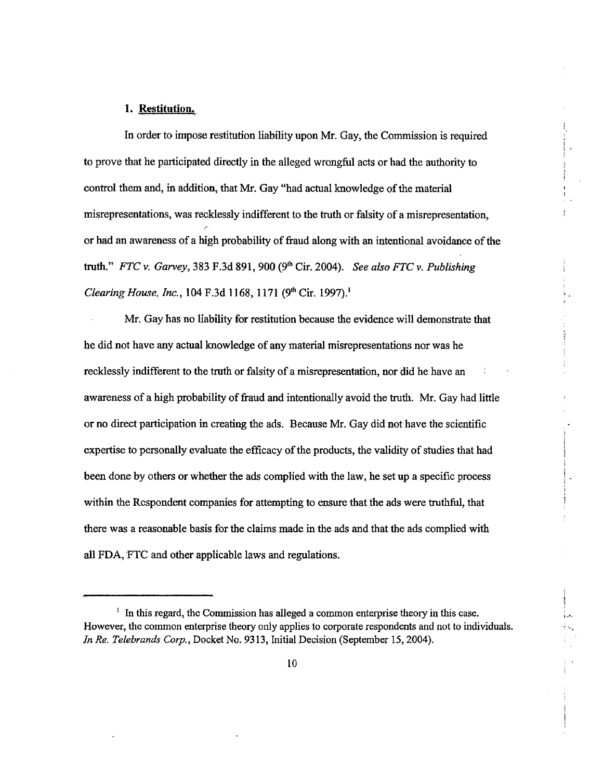#### 1. Restitution.

In order to impose restitution liability upon Mr. Gay, the Commission is required to prove that he participated directly in the alleged wrongful acts or had the authority to control them and, in addition, that Mr. Gay "had actual knowledge of the material misrepresentations, was recklessly indifferent to the truth or falsity of a misrepresentation, or had an awareness of a high probabilty of fraud along with an intentional avoidance of the truth." FTC v. Garvey, 383 F.3d 891, 900 (9<sup>th</sup> Cir. 2004). See also FTC v. Publishing Clearing House, Inc., 104 F.3d 1168, 1171 (9<sup>th</sup> Cir. 1997).<sup>1</sup>

i.

I"...

Mr. Gay has no liability for restitution because the evidence wil demonstrate that he did not have any actual knowledge of any material misrepresentations nor was he recklessly indifferent to the truth or falsity of a misrepresentation, nor did he have an awareness of a high probability of fraud and intentionally avoid the truth. Mr. Gay had little or no direct paricipation in creating the ads. Because Mr. Gay did not have the scientific expertise to personally evaluate the effcacy of the products, the validity of studies that had been done by others or whether the ads complied with the law, he set up a specific process within the Respondent companies for attempting to ensure that the ads were truthful, that there was a reasonable basis for the claims made in the ads and that the ads complied with all FDA, FTC and other applicable laws and regulations.

 $\frac{1}{1}$  In this regard, the Commission has alleged a common enterprise theory in this case. However, the common enterprise theory only applies to corporate respondents and not to individuals. In Re. Telebrands Corp., Docket No. 9313, Initial Decision (September 15,2004).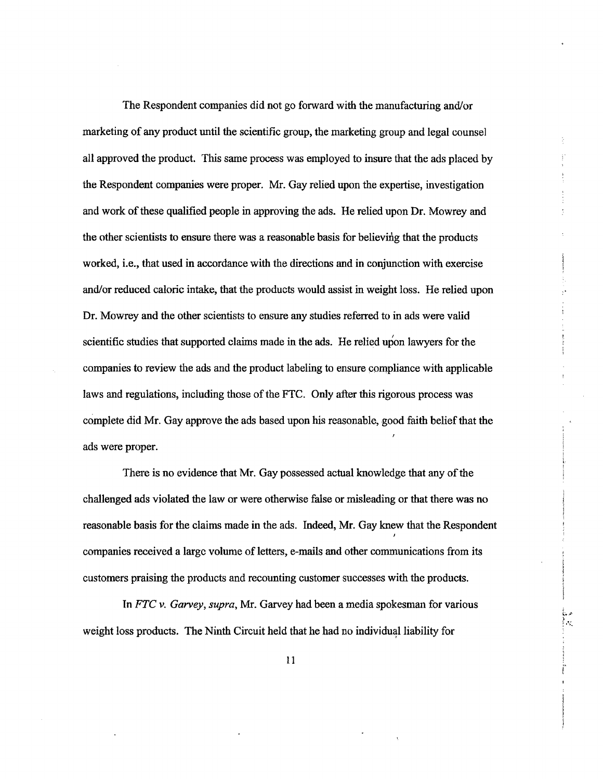The Respondent companies did not go forward with the manufacturing and/or marketing of any product until the scientific group, the marketing group and legal counsel all approved the product. This same process was employed to insure that the ads placed by the Respondent companes were proper. Mr. Gay relied upon the expertise, investigation and work of these qualified people in approving the ads. He relied upon Dr. Mowrey and the other scientists to ensure there was a reasonable basis for believing that the products worked, *i.e.*, that used in accordance with the directions and in conjunction with exercise and/or reduced caloric intake, that the products would assist in weight loss. He relied upon Dr. Mowrey and the other scientists to ensure any studies referred to in ads were valid scientific studies that supported claims made in the ads. He relied upon lawyers for the companies to review the ads and the product labeling to ensure compliance with applicable laws and regulations, including those of the FTC. Only after this rigorous process was complete did Mr. Gay approve the ads based upon his reasonable, good faith belief that the ads were proper.

There is no evidence that Mr. Gay possessed actual knowledge that any of the challenged ads violated the law or were otherwise false or misleading or that there was no reasonable basis for the claims made in the ads. Indeed, Mr. Gay knew that the Respondent companies received a large volume of letters, e-mails and other communications from its customers praising the products and recounting customer successes with the products.

In FTC v. Garvey, supra, Mr. Garvey had been a media spokesman for various weight loss products. The Ninth Circuit held that he had no individual liability for

 $...$  $r \sim$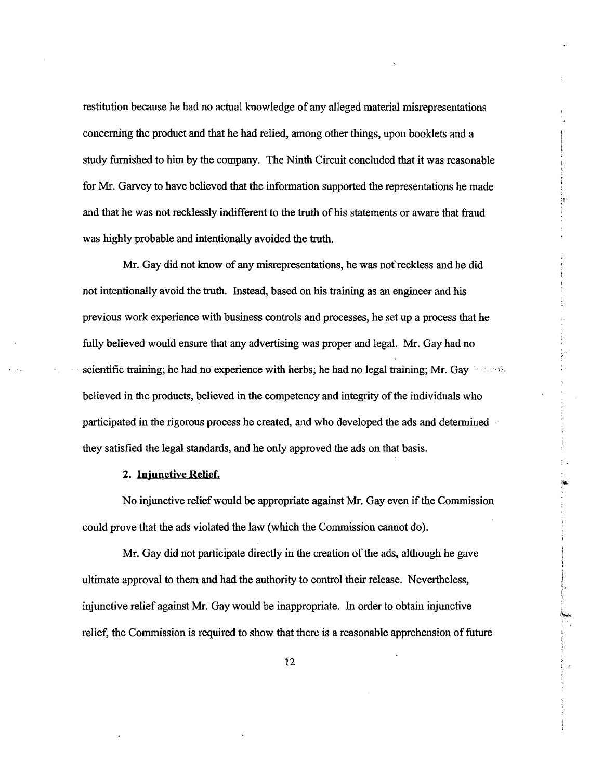restitution because he had no actual knowledge of any alleged material misrepresentations concerning the product and that he had relied, among other things, upon booklets and a study furished to him by the company. The Ninth Circuit concluded that it was reasonable for Mr. Garvey to have believed that the information supported the representations he made and that he was not recklessly indifferent to the truth of his statements or aware that fraud was highly probable and intentionally avoided the truth.

Mr. Gay did not know of any misrepresentations, he was not reckless and he did not intentionally avoid the truth. Instead, based on his training as an engineer and his previous work experience with business controls and processes, he set up a process that he fully believed would ensure that any advertising was proper and legal. Mr. Gay had no scientific training; he had no experience with herbs; he had no legal training; Mr. Gay  $\sim$   $\sim$ believed in the products, believed in the competency and integrty of the individuals who participated in the rigorous process he created, and who developed the ads and determined they satisfied the legal standards, and he only approved the ads on that basis.

#### 2. Injunctive Relief.

No injunctive relief would be appropriate againt Mr. Gay even if the Commission could prove that the ads violated the law (which the Commission cannot do).

1."

,~'"

Mr. Gay did not paricipate directly in the creation of the ads, although he gave ultimate approval to them and had the authority to control their release. Nevertheless, injunctive relief against Mr. Gay would be inappropriate. In order to obtain injunctive relief, the Commission is required to show that there is a reasonable apprehension of futue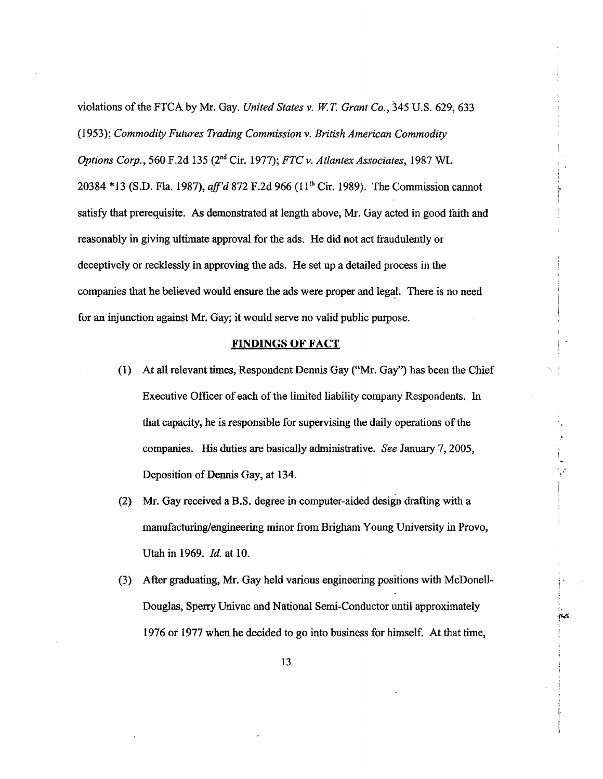violations of the FTCA by Mr. Gay. United States v. w.T. Grant Co., 345 U.S. 629,633 (1953); Commodity Futures Trading Commission v. British American Commodity Options Corp., 560 F.2d 135 (2<sup>nd</sup> Cir. 1977); FTC v. Atlantex Associates, 1987 WL 20384 \*13 (S.D. Fla. 1987), aff'd 872 F.2d 966 (11<sup>th</sup> Cir. 1989). The Commission cannot satisfy that prerequisite. As demonstrated at length above, Mr. Gay acted in good faith and reasonably in giving ultimate approval for the ads. He did not act fraudulently or deceptively or recklessly in approving the ads. He set up a detailed process in the companies that he believed would ensure the ads were proper and legal. There is no need for an injunction against Mr. Gay; it would serve no valid public purpose.

!'

.. .~

~'5

#### FINDINGS OF FACT

- (1) At all relevant times, Respondent Dennis Gay ("Mr. Gay") has been the Chief Executive Officer of each of the limited liability company Respondents. In that capacity, he is responsible for supervising the daily operations of the companies. His duties are basically administrative. See January 7, 2005, Deposition of Dennis Gay, at 134.
- (2) Mr. Gay received a B.S. degree in computer-aided design drafting with a manufacturing/engineering minor from Brigham Young University in Provo, Utah in 1969. *Id.* at 10.
- (3) After graduating, Mr. Gay held various engineering positions with McDonell-Douglas, Sperry Univac and National Semi-Conductor until approximately 1976 or 1977 when he decided to go into business for himself. At that time,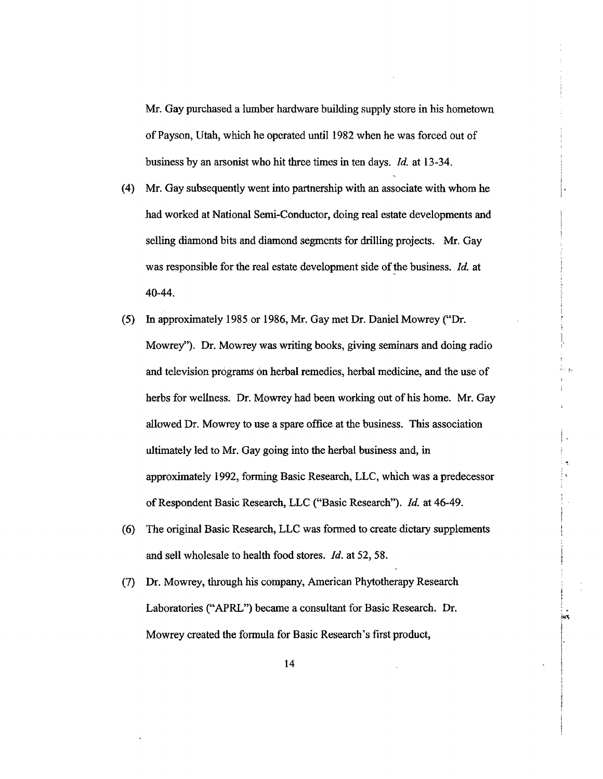Mr. Gay purchased a lumber hardware building supply store in his hometowu of Payson, Utah, which he opcrated until 1982 when he was forced out of business by an arsonist who hit three times in ten days. *Id.* at 13-34.

- (4) Mr. Gay subsequently went into parnership with an associate with whom he had worked at National Semi-Conductor, doing real estate developments and selling diamond bits and diamond segments for drilling projects. Mr. Gay was responsible for the real estate development side of the business. *Id.* at 40-44.
- (5) In approximately 1985 or 1986, Mr. Gay met Dr. Daniel Mowrey ("Dr. Mowrey"). Dr. Mowrey was writing books, giving seminars and doing radio and television programs on herbal remedies, herbal medicine, and the use of herbs for wellness. Dr. Mowrey had been working out of his home. Mr. Gay allowed Dr. Mowrey to use a spare office at the business. This association ultimately led to Mr. Gay going into the herbal business and, in approximately 1992, forming Basic Research, LLC, which was a predecessor of Respondent Basic Research, LLC ("Basic Research"). Id. at 46-49.
- (6) The original Basic Research, LLC was formed to create dictary supplements and sell wholesale to health food stores.  $Id$ , at 52,58.

.<br>.<br>. ¡

(7) Dr. Mowrey, though his company, American Phytotherapy Research Laboratories ("APRL") became a consultant for Basic Research. Dr. Mowrey created the formula for Basic Research's first product,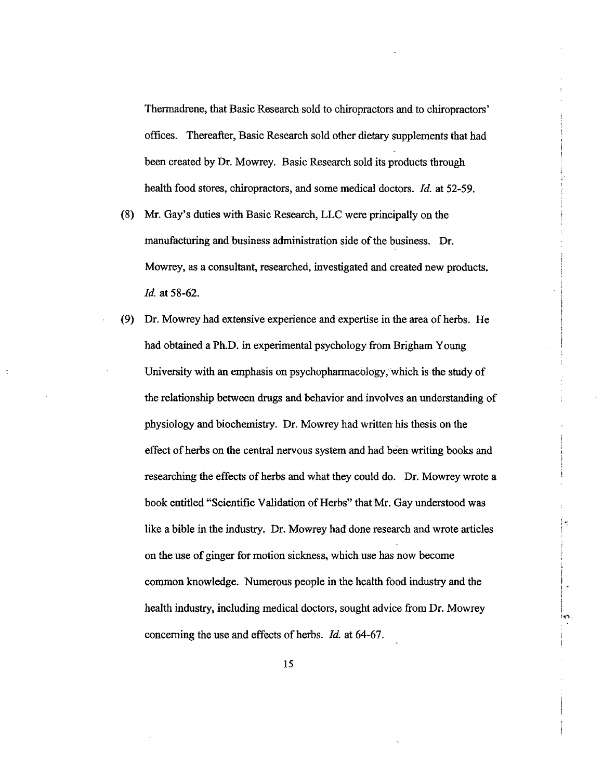Thermadrene, that Basic Research sold to chiropractors and to chiropractors' offices. Thereafter, Basic Research sold other dietary supplements that had been created by Dr. Mowrey. Basic Research sold its products through health food stores, chiropractors, and some medical doctors. *Id.* at 52-59.

- (8) Mr. Gay's duties with Basic Research, LLC were principally on the manufacturing and business administration side of the business. Dr. Mowrey, as a consultant, researched, investigated and created new products. ld. at 58-62.
- (9) Dr. Mowrey had extensive experience and expertise in the area of herbs. He had obtained a Ph.D. in experimental psychology from Brigham Young University with an emphasis on psychopharmacology, which is the study of the relationship between drugs and behavior and involves an understanding of physiology and biochemistry. Dr. Mowrey had written his thesis on the effect of herbs on the central nervous system and had been writing books and researching the effects of herbs and what they could do. Dr. Mowrey wrote a book entitled "Scientific Valdation of Herbs" that Mr. Gay understood was like a bible in the industry. Dr. Mowrey had done research and wrote articles on the use of ginger for motion sickness, which use has now become common knowledge. Numerous people in the health food industry and the health industry, including medical doctors, sought advice from Dr. Mowrey concerning the use and effects of herbs. *Id.* at 64-67.

¡.'

 $\sim$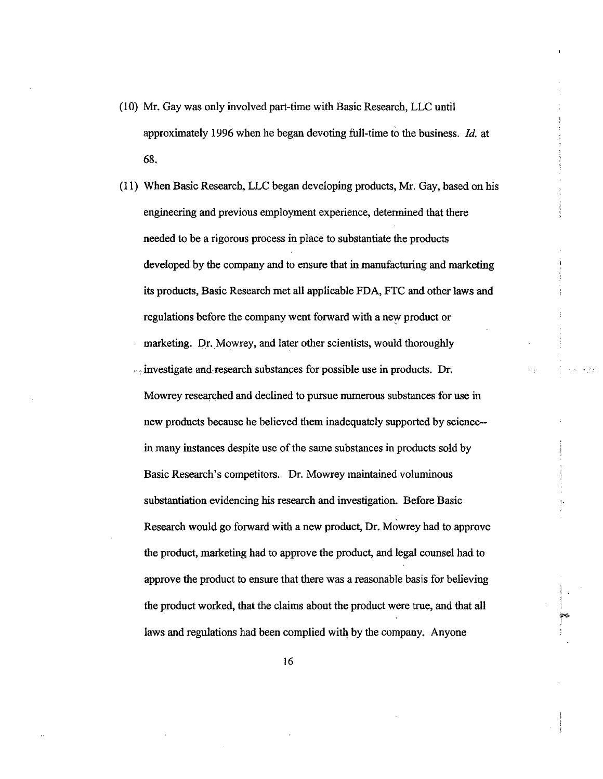- (10) Mr. Gay was only involved par-time with Basic Research, LLC until approximately 1996 when he began devotig full-time to the business. Id. at 68.
- (11) When Basic Research, LLC began developing products, Mr. Gay, based on his engineering and previous employment experience, determined that there needed to be a rigorous process in place to substantiate the products developed by the company and to ensure that in manufacturing and marketing its products, Basic Research met all applicable FDA, FTC and other laws and regulations before the company went forward with a new product or marketing. Dr. Mowrey, and later other scientists, would thoroughly seeinvestigate and research substances for possible use in products. Dr. Mowrey researched and declined to pursue numerous substances for use in new products because he believed them inadequately supported by science- in many instances despite use of the same substances in products sold by Basic Research's competitors. Dr. Mowrey maintained voluminous substantiation evidencing his research and investigation. Before Basic Research would go forward with a new product, Dr. Mowrey had to approvc the product, marketing had to approve the product, and legal counsel had to approve the product to ensure that there was a reasonable basis for believing the product worked, that the claims about the product were true, and that all laws and regulations had been complied with by the company. Anyone
	- 16

l<br>P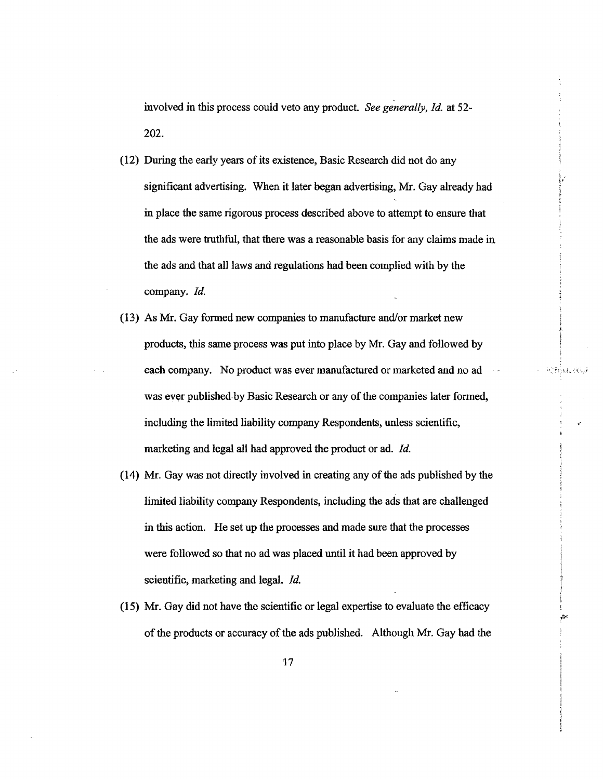involved in this process could veto any product. See generally, ld. at 52- 202.

- (12) During the early year of its existence, Basic Research did not do any significant advertising. When it later began advertising, Mr. Gay already had in place the same rigorous process described above to attempt to ensure that the ads were truthful, that there was a reasonable basis for any claims made in the ads and that all laws and regulations had been complied with by the company. *Id.*
- (13) As Mr. Gay formed new companies to manufacture and/or market new products, this same process was put into place by Mr. Gay and followed by each company. No product was ever manufactured or marketed and no ad was ever published by Basic Research or any of the companies later formed, including the limited liabilty company Respondents, unless scientific, marketing and legal all had approved the product or ad. *Id.*

 $1.15.11$ 

j'~

"

- (14) Mr. Gay was not directly involved in creating any of the ads published by the limited liability company Respondents, including the ads that are challenged in this action. He set up the processes and made sure that the processes were followed so that no ad was placed until it had been approved by scientific, marketing and legal. *Id.*
- (15) Mr. Gay did not have the scientific or legal expertise to evaluate the effcacy of the products or accuracy of the ads published. Although Mr. Gay had the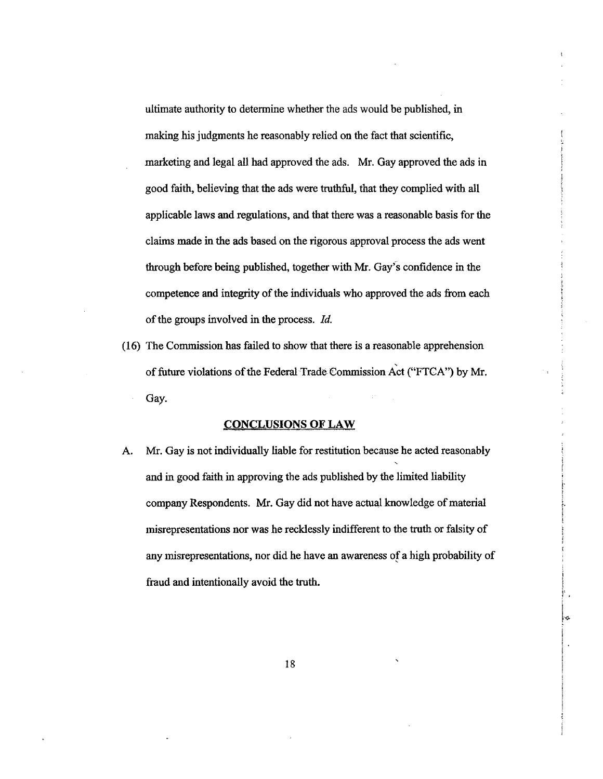ultimate authority to determine whether the ads would be published, in making his judgments he reasonably relied on the fact that scientific, marketing and legal all had approved the ads. Mr. Gay approved the ads in good faith, believing that the ads were truthful, that they complied with all applicable laws and regulations, and that there was a reasonable basis for the claims made in the ads based on the rigorous approval process the ads went through before being published, together with Mr. Gay's confidence in the competence and integrity of the individuals who approved the ads from each of the groups involved in the process.  $Id$ .

(16) The Commssion has faied to show that there is a reasonable apprehension , of future violations of the Federal Trade Commission Act ("FTCA") by Mr. Gay.

#### CONCLUSIONS OF LAW

A. Mr. Gay is not individually liable for restitution because he acted reasonably and in good faith in approving the ads published by the limited liabilty company Respondents. Mr. Gay did not have actual knowledge of material misrepresentations nor was he recklessly indifferent to the truth or falsity of any misrepresentations, nor did he have an awareness of a high probabilty of fraud and intentionally avoid the truth.

18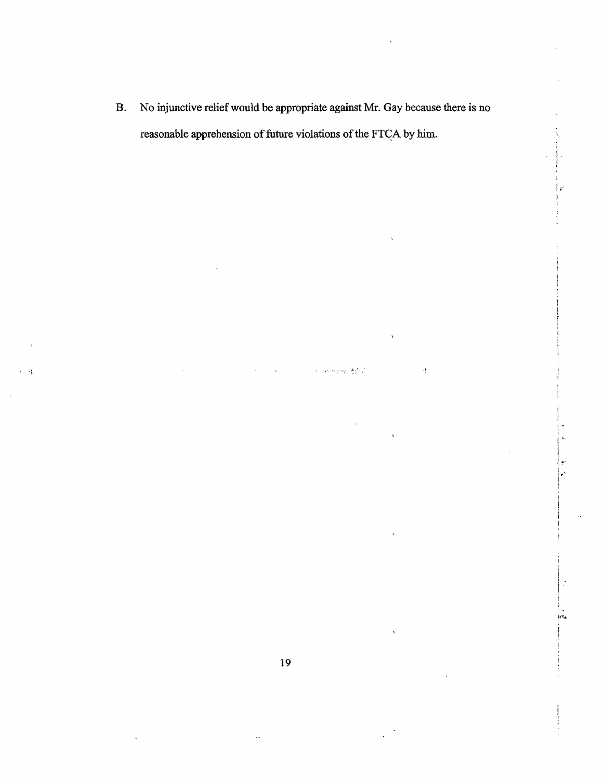B. No injunctive relief would be appropriate agaist Mr. Gay because there is no reasonable apprehension of futue violations of the FTGA by him.

in which we filed

 $\frac{3}{3}$ 

 $\mathfrak{f}$  .

Îκ

.'

¡ i i  $\vert$  . ¡

 $^{*a}$ 

19

.':.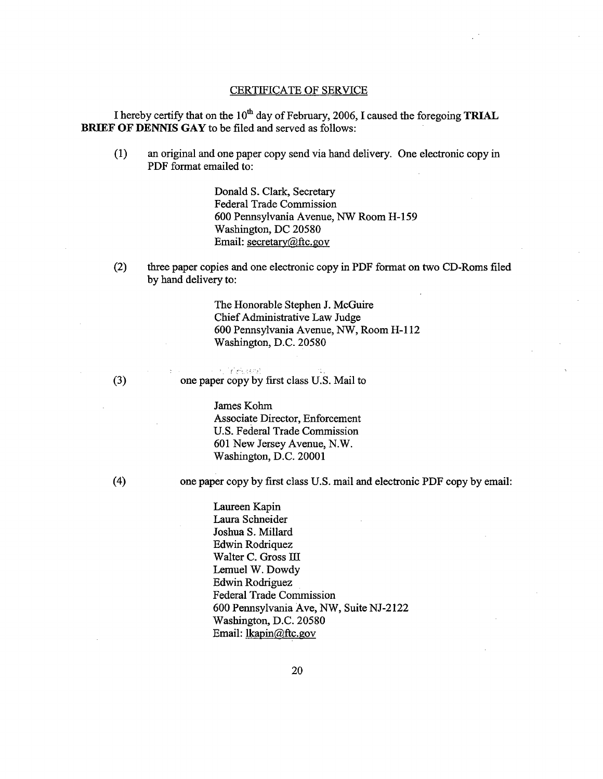#### CERTIFICATE OF SERVICE

I hereby certify that on the  $10^{th}$  day of February, 2006, I caused the foregoing **TRIAL** BRIEF OF DENNIS GAY to be filed and served as follows:

(1) an original and one paper copy send via hand delivery. One electronic copy in PDF format emailed to:

> Donald S. Clark, Secretar Federal Trade Commission 600 Pennsylvania Avenue, NW Room H-159 Washington, DC 20580 Email: secretary@ftc.gov

(2) three paper copies and one electronic copy in PDF format on two CD-Roms filed by hand delivery to:

> The Honorable Stephen J. McGuire Chief Administrative Law Judge 600 Pennsylvania Avenue, NW, Room H-l 12 Washington, D.C. 20580

r -~" -'; '-. . . (3) one paper copy by fist class U.S. Mail to

> James Kohm Associate Director, Enforcement U.S. Federal Trade Commission 601 New Jersey Avenue, N.W. Washington, D.C. 20001

(4) one paper copy by first class U.S. mail and electronic PDF copy by email:

Laureen Kapin Laura Schneider Joshua S. Milard Edwin Rodriquez Walter C. Gross III Lemuel W. Dowdy Edwin Rodriguez Federal Trade Commission 600 Pennsylvania Ave, NW, Suite NJ-2122 Washington, D.C. 20580 Email: lkapin@ftc.gov

20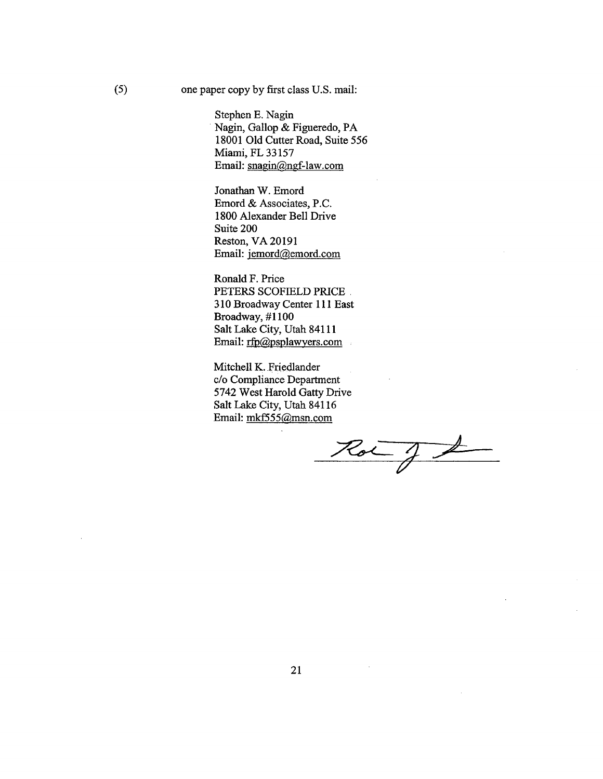(5) one paper copy by fist class U.S. mail:

Stephen E. Nagin Nagin, Gallop & Figueredo, PA 18001 Old Cutter Road, Suite 556 Miami, FL 33157 Email: snagin@ngf-law.com

Jonathan W. Emord Emord & Associates, P.C. 1800 Alexander Bell Drive Suite 200 Reston, VA 20191 Email: jemord@emord.com

Ronald F. Price PETERS SCOFIELD PRICE . 310 Broadway Center 111 East Broadway, #1100 Salt Lake City, Utah 84111 Email:  $rfp@psplawyers.com$ 

Mitchell K.Friedlander c/o Compliance Department 5742 West Harold Gatty Drive Salt Lake City, Utah 84116<br>Email: mkf555@msn.com

 $Rot\_f$